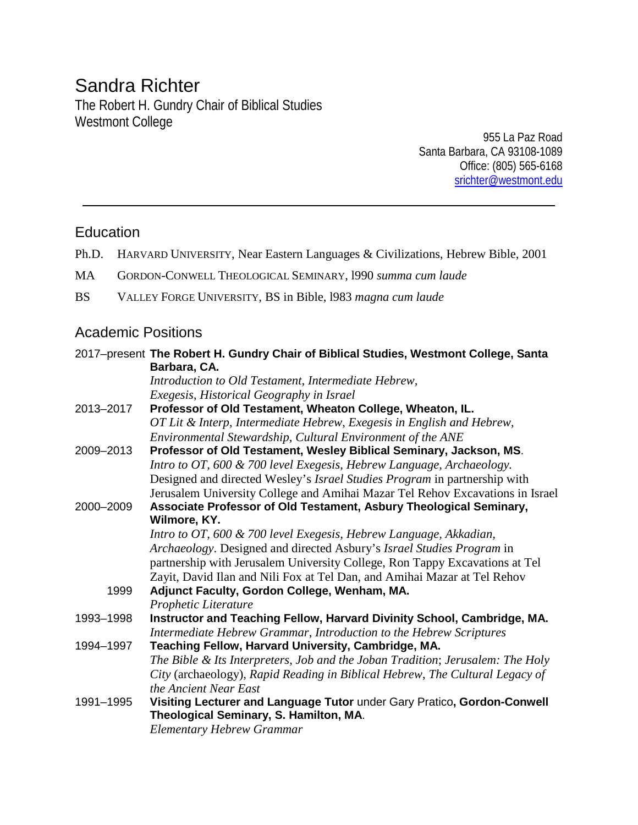# Sandra Richter

The Robert H. Gundry Chair of Biblical Studies Westmont College

955 La Paz Road Santa Barbara, CA 93108-1089 Office: (805) 565-6168 [srichter@westmont.edu](mailto:srichter@westmont.edu)

# Education

- Ph.D. HARVARD UNIVERSITY, Near Eastern Languages & Civilizations, Hebrew Bible, 2001
- MA GORDON-CONWELL THEOLOGICAL SEMINARY, l990 *summa cum laude*
- BS VALLEY FORGE UNIVERSITY, BS in Bible, l983 *magna cum laude*

# Academic Positions

|           | 2017-present The Robert H. Gundry Chair of Biblical Studies, Westmont College, Santa |
|-----------|--------------------------------------------------------------------------------------|
|           | Barbara, CA.                                                                         |
|           | Introduction to Old Testament, Intermediate Hebrew,                                  |
|           | Exegesis, Historical Geography in Israel                                             |
| 2013-2017 | Professor of Old Testament, Wheaton College, Wheaton, IL.                            |
|           | OT Lit & Interp, Intermediate Hebrew, Exegesis in English and Hebrew,                |
|           | Environmental Stewardship, Cultural Environment of the ANE                           |
| 2009-2013 | Professor of Old Testament, Wesley Biblical Seminary, Jackson, MS.                   |
|           | Intro to OT, 600 & 700 level Exegesis, Hebrew Language, Archaeology.                 |
|           | Designed and directed Wesley's Israel Studies Program in partnership with            |
|           | Jerusalem University College and Amihai Mazar Tel Rehov Excavations in Israel        |
| 2000-2009 | Associate Professor of Old Testament, Asbury Theological Seminary,                   |
|           | Wilmore, KY.                                                                         |
|           | Intro to OT, 600 & 700 level Exegesis, Hebrew Language, Akkadian,                    |
|           | Archaeology. Designed and directed Asbury's Israel Studies Program in                |
|           | partnership with Jerusalem University College, Ron Tappy Excavations at Tel          |
|           | Zayit, David Ilan and Nili Fox at Tel Dan, and Amihai Mazar at Tel Rehov             |
| 1999      | Adjunct Faculty, Gordon College, Wenham, MA.                                         |
|           | Prophetic Literature                                                                 |
| 1993-1998 | Instructor and Teaching Fellow, Harvard Divinity School, Cambridge, MA.              |
|           | Intermediate Hebrew Grammar, Introduction to the Hebrew Scriptures                   |
| 1994-1997 | Teaching Fellow, Harvard University, Cambridge, MA.                                  |
|           | The Bible & Its Interpreters, Job and the Joban Tradition; Jerusalem: The Holy       |
|           | City (archaeology), Rapid Reading in Biblical Hebrew, The Cultural Legacy of         |
|           | the Ancient Near East                                                                |
| 1991-1995 | Visiting Lecturer and Language Tutor under Gary Pratico, Gordon-Conwell              |
|           | Theological Seminary, S. Hamilton, MA.                                               |
|           | <b>Elementary Hebrew Grammar</b>                                                     |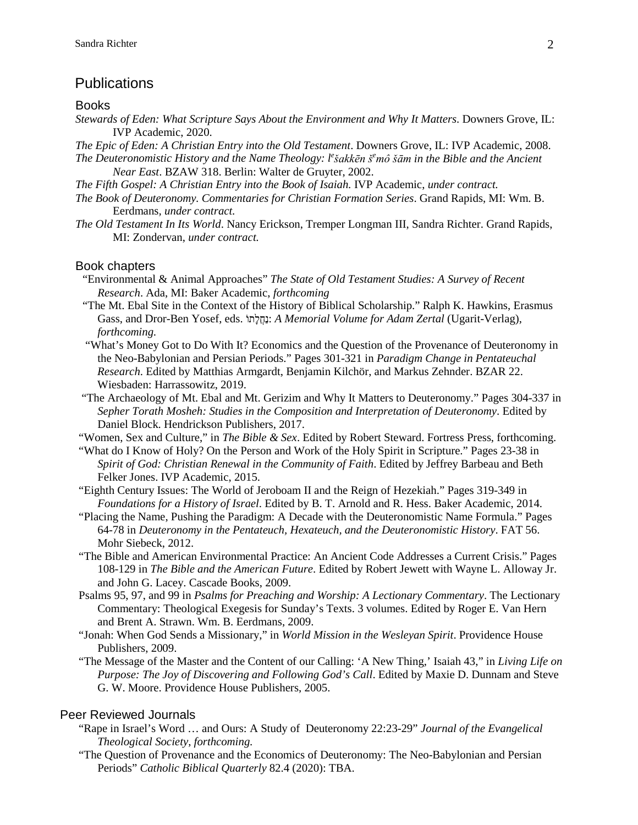### **Publications**

#### **Books**

*Stewards of Eden: What Scripture Says About the Environment and Why It Matters*. Downers Grove, IL: IVP Academic, 2020.

*The Epic of Eden: A Christian Entry into the Old Testament*. Downers Grove, IL: IVP Academic, 2008.

- *The Deuteronomistic History and the Name Theology: l e šakkēn š<sup>e</sup> mô šām in the Bible and the Ancient Near East*. BZAW 318. Berlin: Walter de Gruyter, 2002.
- *The Fifth Gospel: A Christian Entry into the Book of Isaiah.* IVP Academic, *under contract.*
- *The Book of Deuteronomy. Commentaries for Christian Formation Series*. Grand Rapids, MI: Wm. B. Eerdmans*, under contract.*
- *The Old Testament In Its World*. Nancy Erickson, Tremper Longman III, Sandra Richter. Grand Rapids, MI: Zondervan, *under contract.*

#### Book chapters

- "Environmental & Animal Approaches" *The State of Old Testament Studies: A Survey of Recent Research*. Ada, MI: Baker Academic, *forthcoming*
- "The Mt. Ebal Site in the Context of the History of Biblical Scholarship." Ralph K. Hawkins, Erasmus Gass, and Dror-Ben Yosef, eds. ֹתוָלֲחַנ: *A Memorial Volume for Adam Zertal* (Ugarit-Verlag), *forthcoming.*
- "What's Money Got to Do With It? Economics and the Question of the Provenance of Deuteronomy in the Neo-Babylonian and Persian Periods." Pages 301-321 in *Paradigm Change in Pentateuchal Research*. Edited by Matthias Armgardt, Benjamin Kilchör, and Markus Zehnder. BZAR 22. Wiesbaden: Harrassowitz, 2019.
- "The Archaeology of Mt. Ebal and Mt. Gerizim and Why It Matters to Deuteronomy." Pages 304-337 in *Sepher Torath Mosheh: Studies in the Composition and Interpretation of Deuteronomy*. Edited by Daniel Block. Hendrickson Publishers, 2017.
- "Women, Sex and Culture," in *The Bible & Sex*. Edited by Robert Steward. Fortress Press, forthcoming.
- "What do I Know of Holy? On the Person and Work of the Holy Spirit in Scripture." Pages 23-38 in *Spirit of God: Christian Renewal in the Community of Faith*. Edited by Jeffrey Barbeau and Beth Felker Jones. IVP Academic, 2015.
- "Eighth Century Issues: The World of Jeroboam II and the Reign of Hezekiah." Pages 319-349 in *Foundations for a History of Israel*. Edited by B. T. Arnold and R. Hess. Baker Academic, 2014.
- "Placing the Name, Pushing the Paradigm: A Decade with the Deuteronomistic Name Formula." Pages 64-78 in *Deuteronomy in the Pentateuch, Hexateuch, and the Deuteronomistic History*. FAT 56. Mohr Siebeck, 2012.
- "The Bible and American Environmental Practice: An Ancient Code Addresses a Current Crisis." Pages 108-129 in *The Bible and the American Future*. Edited by Robert Jewett with Wayne L. Alloway Jr. and John G. Lacey. Cascade Books, 2009.
- Psalms 95, 97, and 99 in *Psalms for Preaching and Worship: A Lectionary Commentary*. The Lectionary Commentary: Theological Exegesis for Sunday's Texts. 3 volumes. Edited by Roger E. Van Hern and Brent A. Strawn. Wm. B. Eerdmans, 2009.
- "Jonah: When God Sends a Missionary," in *World Mission in the Wesleyan Spirit*. Providence House Publishers, 2009.
- "The Message of the Master and the Content of our Calling: 'A New Thing,' Isaiah 43," in *Living Life on Purpose: The Joy of Discovering and Following God's Call*. Edited by Maxie D. Dunnam and Steve G. W. Moore. Providence House Publishers, 2005.

#### Peer Reviewed Journals

- "Rape in Israel's Word … and Ours: A Study of Deuteronomy 22:23-29" *Journal of the Evangelical Theological Society*, *forthcoming.*
- "The Question of Provenance and the Economics of Deuteronomy: The Neo-Babylonian and Persian Periods" *Catholic Biblical Quarterly* 82.4 (2020): TBA.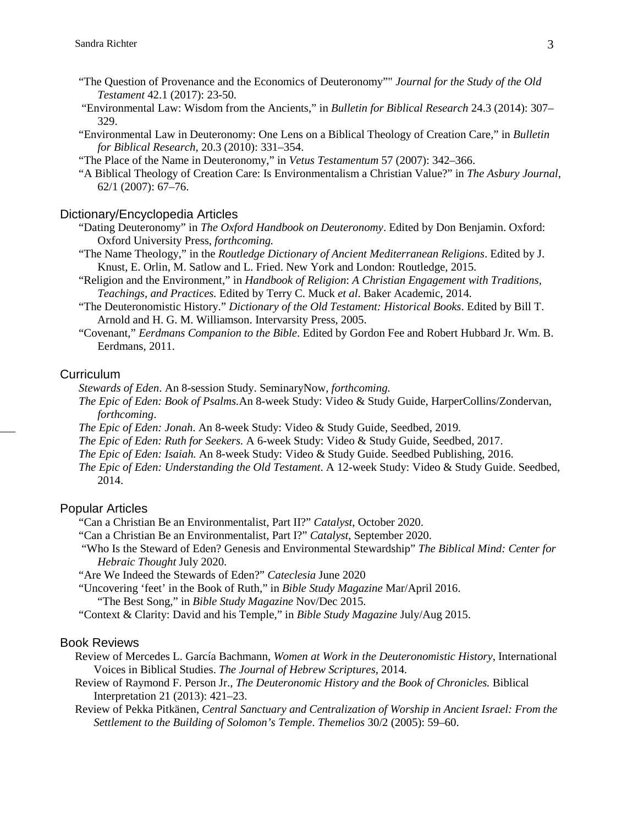- "The Question of Provenance and the Economics of Deuteronomy"" *Journal for the Study of the Old Testament* 42.1 (2017): 23-50.
- "Environmental Law: Wisdom from the Ancients," in *Bulletin for Biblical Research* 24.3 (2014): 307– 329.
- "Environmental Law in Deuteronomy: One Lens on a Biblical Theology of Creation Care," in *Bulletin for Biblical Research*, 20.3 (2010): 331–354.
- "The Place of the Name in Deuteronomy," in *Vetus Testamentum* 57 (2007): 342–366.
- "A Biblical Theology of Creation Care: Is Environmentalism a Christian Value?" in *The Asbury Journal*, 62/1 (2007): 67–76.

#### Dictionary/Encyclopedia Articles

- "Dating Deuteronomy" in *The Oxford Handbook on Deuteronomy*. Edited by Don Benjamin. Oxford: Oxford University Press, *forthcoming.*
- "The Name Theology," in the *Routledge Dictionary of Ancient Mediterranean Religions*. Edited by J. Knust, E. Orlin, M. Satlow and L. Fried. New York and London: Routledge, 2015.
- "Religion and the Environment," in *Handbook of Religion*: *A Christian Engagement with Traditions, Teachings, and Practices.* Edited by Terry C. Muck *et al*. Baker Academic, 2014.
- "The Deuteronomistic History." *Dictionary of the Old Testament: Historical Books*. Edited by Bill T. Arnold and H. G. M. Williamson. Intervarsity Press, 2005.
- "Covenant," *Eerdmans Companion to the Bible*. Edited by Gordon Fee and Robert Hubbard Jr. Wm. B. Eerdmans, 2011.

#### **Curriculum**

*Stewards of Eden*. An 8-session Study. SeminaryNow, *forthcoming.*

- *The Epic of Eden: Book of Psalms.*An 8-week Study: Video & Study Guide, HarperCollins/Zondervan, *forthcoming*.
- *The Epic of Eden: Jonah*. An 8-week Study: Video & Study Guide, Seedbed, 2019.
- *The Epic of Eden: Ruth for Seekers.* A 6-week Study: Video & Study Guide, Seedbed, 2017.
- *The Epic of Eden: Isaiah.* An 8-week Study: Video & Study Guide. Seedbed Publishing, 2016.
- *The Epic of Eden: Understanding the Old Testament*. A 12-week Study: Video & Study Guide. Seedbed, 2014.

#### Popular Articles

- "Can a Christian Be an Environmentalist, Part II?" *Catalyst*, October 2020.
- "Can a Christian Be an Environmentalist, Part I?" *Catalyst*, September 2020.
- "Who Is the Steward of Eden? Genesis and Environmental Stewardship" *The Biblical Mind: Center for Hebraic Thought* July 2020.
- "Are We Indeed the Stewards of Eden?" *Cateclesia* June 2020
- "Uncovering 'feet' in the Book of Ruth," in *Bible Study Magazine* Mar/April 2016. "The Best Song," in *Bible Study Magazine* Nov/Dec 2015.
- "Context & Clarity: David and his Temple," in *Bible Study Magazine* July/Aug 2015.

#### Book Reviews

- Review of Mercedes L. García Bachmann, *Women at Work in the Deuteronomistic History*, International Voices in Biblical Studies. *The Journal of Hebrew Scriptures*, 2014.
- Review of Raymond F. Person Jr., *The Deuteronomic History and the Book of Chronicles.* Biblical Interpretation 21 (2013): 421–23.
- Review of Pekka Pitkänen, *Central Sanctuary and Centralization of Worship in Ancient Israel: From the Settlement to the Building of Solomon's Temple*. *Themelios* 30/2 (2005): 59–60.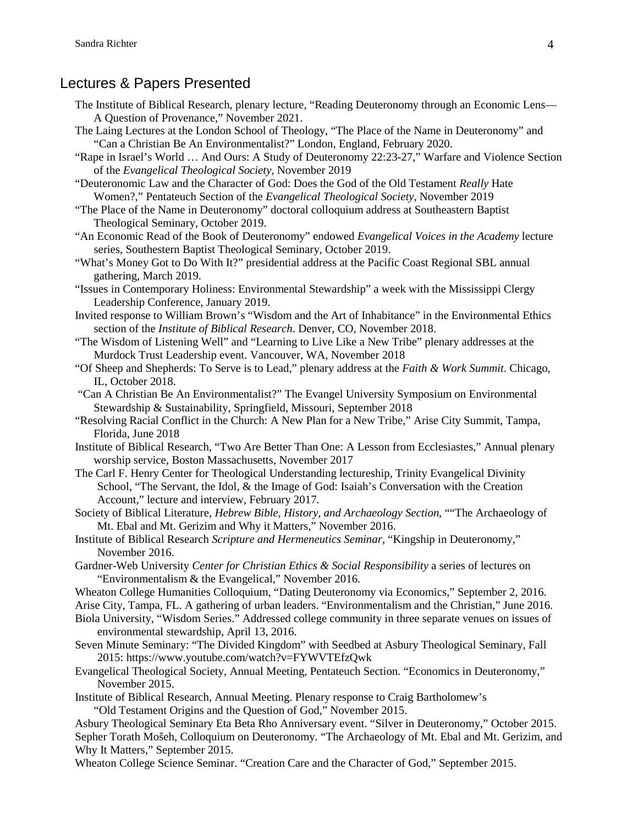### Lectures & Papers Presented

- The Institute of Biblical Research, plenary lecture, "Reading Deuteronomy through an Economic Lens— A Question of Provenance," November 2021.
- The Laing Lectures at the London School of Theology, "The Place of the Name in Deuteronomy" and "Can a Christian Be An Environmentalist?" London, England, February 2020.
- "Rape in Israel's World … And Ours: A Study of Deuteronomy 22:23-27," Warfare and Violence Section of the *Evangelical Theological Society*, November 2019
- "Deuteronomic Law and the Character of God: Does the God of the Old Testament *Really* Hate Women?," Pentateuch Section of the *Evangelical Theological Society*, November 2019
- "The Place of the Name in Deuteronomy" doctoral colloquium address at Southeastern Baptist Theological Seminary, October 2019.
- "An Economic Read of the Book of Deuteronomy" endowed *Evangelical Voices in the Academy* lecture series, Southestern Baptist Theological Seminary, October 2019.
- "What's Money Got to Do With It?" presidential address at the Pacific Coast Regional SBL annual gathering, March 2019.
- "Issues in Contemporary Holiness: Environmental Stewardship" a week with the Mississippi Clergy Leadership Conference, January 2019.
- Invited response to William Brown's "Wisdom and the Art of Inhabitance" in the Environmental Ethics section of the *Institute of Biblical Research*. Denver, CO, November 2018.
- "The Wisdom of Listening Well" and "Learning to Live Like a New Tribe" plenary addresses at the Murdock Trust Leadership event. Vancouver, WA, November 2018
- "Of Sheep and Shepherds: To Serve is to Lead," plenary address at the *Faith & Work Summit*. Chicago, IL, October 2018.
- "Can A Christian Be An Environmentalist?" The Evangel University Symposium on Environmental Stewardship & Sustainability, Springfield, Missouri, September 2018
- "Resolving Racial Conflict in the Church: A New Plan for a New Tribe," Arise City Summit, Tampa, Florida, June 2018
- Institute of Biblical Research, "Two Are Better Than One: A Lesson from Ecclesiastes," Annual plenary worship service, Boston Massachusetts, November 2017
- The Carl F. Henry Center for Theological Understanding lectureship, Trinity Evangelical Divinity School, "The Servant, the Idol, & the Image of God: Isaiah's Conversation with the Creation Account," lecture and interview, February 2017.
- Society of Biblical Literature, *Hebrew Bible, History, and Archaeology Section*, ""The Archaeology of Mt. Ebal and Mt. Gerizim and Why it Matters," November 2016.
- Institute of Biblical Research *Scripture and Hermeneutics Seminar*, "Kingship in Deuteronomy," November 2016.
- Gardner-Web University *Center for Christian Ethics & Social Responsibility* a series of lectures on "Environmentalism & the Evangelical," November 2016.
- Wheaton College Humanities Colloquium, "Dating Deuteronomy via Economics," September 2, 2016.
- Arise City, Tampa, FL. A gathering of urban leaders. "Environmentalism and the Christian," June 2016.
- Biola University, "Wisdom Series." Addressed college community in three separate venues on issues of environmental stewardship, April 13, 2016.
- Seven Minute Seminary: "The Divided Kingdom" with Seedbed at Asbury Theological Seminary, Fall 2015: https://www.youtube.com/watch?v=FYWVTEfzQwk
- Evangelical Theological Society, Annual Meeting, Pentateuch Section. "Economics in Deuteronomy," November 2015.
- Institute of Biblical Research, Annual Meeting. Plenary response to Craig Bartholomew's

"Old Testament Origins and the Question of God," November 2015.

Asbury Theological Seminary Eta Beta Rho Anniversary event. "Silver in Deuteronomy," October 2015. Sepher Torath Mošeh, Colloquium on Deuteronomy. "The Archaeology of Mt. Ebal and Mt. Gerizim, and Why It Matters," September 2015.

Wheaton College Science Seminar. "Creation Care and the Character of God," September 2015.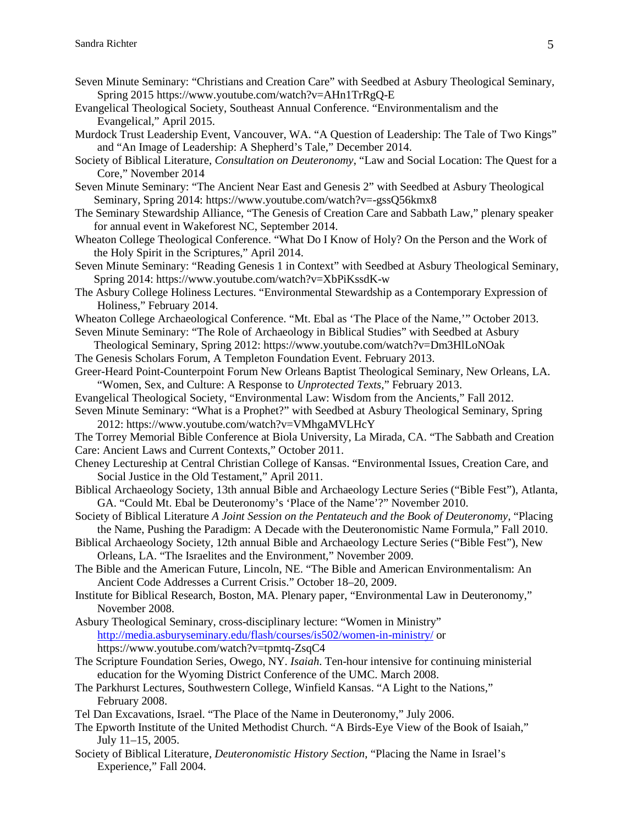- Seven Minute Seminary: "Christians and Creation Care" with Seedbed at Asbury Theological Seminary, Spring 2015 https://www.youtube.com/watch?v=AHn1TrRgQ-E
- Evangelical Theological Society, Southeast Annual Conference. "Environmentalism and the Evangelical," April 2015.
- Murdock Trust Leadership Event, Vancouver, WA. "A Question of Leadership: The Tale of Two Kings" and "An Image of Leadership: A Shepherd's Tale," December 2014.
- Society of Biblical Literature, *Consultation on Deuteronomy*, "Law and Social Location: The Quest for a Core," November 2014
- Seven Minute Seminary: "The Ancient Near East and Genesis 2" with Seedbed at Asbury Theological Seminary, Spring 2014: https://www.youtube.com/watch?v=-gssQ56kmx8
- The Seminary Stewardship Alliance, "The Genesis of Creation Care and Sabbath Law," plenary speaker for annual event in Wakeforest NC, September 2014.
- Wheaton College Theological Conference. "What Do I Know of Holy? On the Person and the Work of the Holy Spirit in the Scriptures," April 2014.
- Seven Minute Seminary: "Reading Genesis 1 in Context" with Seedbed at Asbury Theological Seminary, Spring 2014: https://www.youtube.com/watch?v=XbPiKssdK-w
- The Asbury College Holiness Lectures. "Environmental Stewardship as a Contemporary Expression of Holiness," February 2014.
- Wheaton College Archaeological Conference. "Mt. Ebal as 'The Place of the Name,'" October 2013.
- Seven Minute Seminary: "The Role of Archaeology in Biblical Studies" with Seedbed at Asbury Theological Seminary, Spring 2012: https://www.youtube.com/watch?v=Dm3HlLoNOak
- The Genesis Scholars Forum, A Templeton Foundation Event. February 2013.
- Greer-Heard Point-Counterpoint Forum New Orleans Baptist Theological Seminary, New Orleans, LA. "Women, Sex, and Culture: A Response to *Unprotected Texts*," February 2013.
- Evangelical Theological Society, "Environmental Law: Wisdom from the Ancients," Fall 2012.
- Seven Minute Seminary: "What is a Prophet?" with Seedbed at Asbury Theological Seminary, Spring 2012: https://www.youtube.com/watch?v=VMhgaMVLHcY
- The Torrey Memorial Bible Conference at Biola University, La Mirada, CA. "The Sabbath and Creation Care: Ancient Laws and Current Contexts," October 2011.
- Cheney Lectureship at Central Christian College of Kansas. "Environmental Issues, Creation Care, and Social Justice in the Old Testament," April 2011.
- Biblical Archaeology Society, 13th annual Bible and Archaeology Lecture Series ("Bible Fest"), Atlanta, GA. "Could Mt. Ebal be Deuteronomy's 'Place of the Name'?" November 2010.
- Society of Biblical Literature *A Joint Session on the Pentateuch and the Book of Deuteronomy*, "Placing the Name, Pushing the Paradigm: A Decade with the Deuteronomistic Name Formula," Fall 2010.
- Biblical Archaeology Society, 12th annual Bible and Archaeology Lecture Series ("Bible Fest"), New Orleans, LA. "The Israelites and the Environment," November 2009.
- The Bible and the American Future, Lincoln, NE. "The Bible and American Environmentalism: An Ancient Code Addresses a Current Crisis." October 18–20, 2009.
- Institute for Biblical Research, Boston, MA. Plenary paper, "Environmental Law in Deuteronomy," November 2008.
- Asbury Theological Seminary, cross-disciplinary lecture: "Women in Ministry" <http://media.asburyseminary.edu/flash/courses/is502/women-in-ministry/> or https://www.youtube.com/watch?v=tpmtq-ZsqC4
- The Scripture Foundation Series, Owego, NY. *Isaiah*. Ten-hour intensive for continuing ministerial education for the Wyoming District Conference of the UMC. March 2008.
- The Parkhurst Lectures, Southwestern College, Winfield Kansas. "A Light to the Nations," February 2008.
- Tel Dan Excavations, Israel. "The Place of the Name in Deuteronomy," July 2006.
- The Epworth Institute of the United Methodist Church. "A Birds-Eye View of the Book of Isaiah," July 11–15, 2005.
- Society of Biblical Literature, *Deuteronomistic History Section*, "Placing the Name in Israel's Experience," Fall 2004.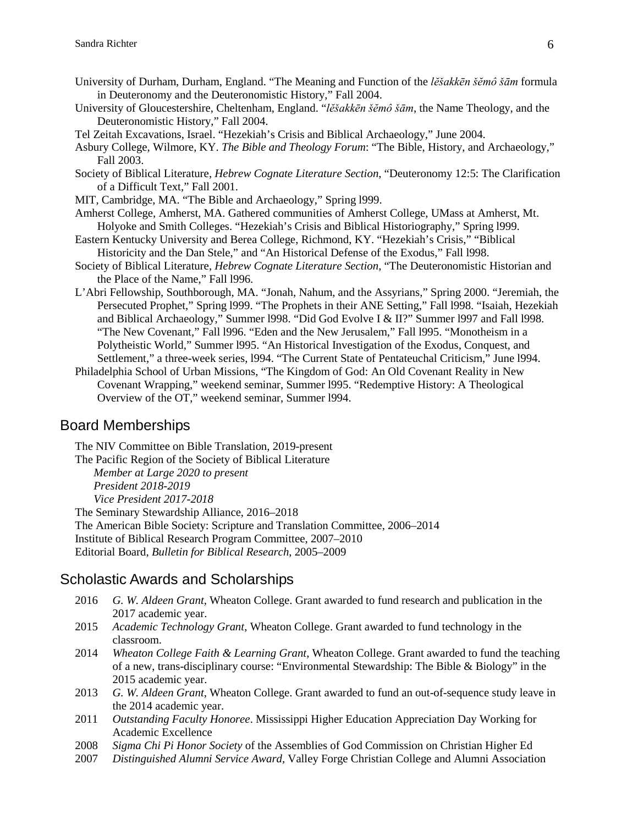- University of Durham, Durham, England. "The Meaning and Function of the *lĕšakkēn šĕmô šām* formula in Deuteronomy and the Deuteronomistic History," Fall 2004.
- University of Gloucestershire, Cheltenham, England. "*lĕšakkēn šĕmô šām*, the Name Theology, and the Deuteronomistic History," Fall 2004.
- Tel Zeitah Excavations, Israel. "Hezekiah's Crisis and Biblical Archaeology," June 2004.
- Asbury College, Wilmore, KY. *The Bible and Theology Forum*: "The Bible, History, and Archaeology," Fall 2003.
- Society of Biblical Literature, *Hebrew Cognate Literature Section*, "Deuteronomy 12:5: The Clarification of a Difficult Text," Fall 2001.
- MIT, Cambridge, MA. "The Bible and Archaeology," Spring l999.
- Amherst College, Amherst, MA. Gathered communities of Amherst College, UMass at Amherst, Mt. Holyoke and Smith Colleges. "Hezekiah's Crisis and Biblical Historiography," Spring l999.
- Eastern Kentucky University and Berea College, Richmond, KY. "Hezekiah's Crisis," "Biblical Historicity and the Dan Stele," and "An Historical Defense of the Exodus," Fall l998.
- Society of Biblical Literature, *Hebrew Cognate Literature Section*, "The Deuteronomistic Historian and the Place of the Name," Fall l996.
- L'Abri Fellowship, Southborough, MA. "Jonah, Nahum, and the Assyrians," Spring 2000. "Jeremiah, the Persecuted Prophet," Spring l999. "The Prophets in their ANE Setting," Fall l998. "Isaiah, Hezekiah and Biblical Archaeology," Summer l998. "Did God Evolve I & II?" Summer l997 and Fall l998. "The New Covenant," Fall l996. "Eden and the New Jerusalem," Fall l995. "Monotheism in a Polytheistic World," Summer l995. "An Historical Investigation of the Exodus, Conquest, and Settlement," a three-week series, l994. "The Current State of Pentateuchal Criticism," June l994.
- Philadelphia School of Urban Missions, "The Kingdom of God: An Old Covenant Reality in New Covenant Wrapping," weekend seminar, Summer l995. "Redemptive History: A Theological Overview of the OT," weekend seminar, Summer l994.

# Board Memberships

The NIV Committee on Bible Translation, 2019-present The Pacific Region of the Society of Biblical Literature *Member at Large 2020 to present President 2018-2019 Vice President 2017-2018* The Seminary Stewardship Alliance, 2016–2018 The American Bible Society: Scripture and Translation Committee, 2006–2014 Institute of Biblical Research Program Committee, 2007–2010 Editorial Board, *Bulletin for Biblical Research*, 2005–2009

## Scholastic Awards and Scholarships

- 2016 *G. W. Aldeen Grant,* Wheaton College. Grant awarded to fund research and publication in the 2017 academic year.
- 2015 *Academic Technology Grant*, Wheaton College. Grant awarded to fund technology in the classroom.
- 2014 *Wheaton College Faith & Learning Grant*, Wheaton College. Grant awarded to fund the teaching of a new, trans-disciplinary course: "Environmental Stewardship: The Bible & Biology" in the 2015 academic year.
- 2013 *G. W. Aldeen Grant*, Wheaton College. Grant awarded to fund an out-of-sequence study leave in the 2014 academic year.
- 2011 *Outstanding Faculty Honoree*. Mississippi Higher Education Appreciation Day Working for Academic Excellence
- 2008 *Sigma Chi Pi Honor Society* of the Assemblies of God Commission on Christian Higher Ed
- 2007 *Distinguished Alumni Service Award*, Valley Forge Christian College and Alumni Association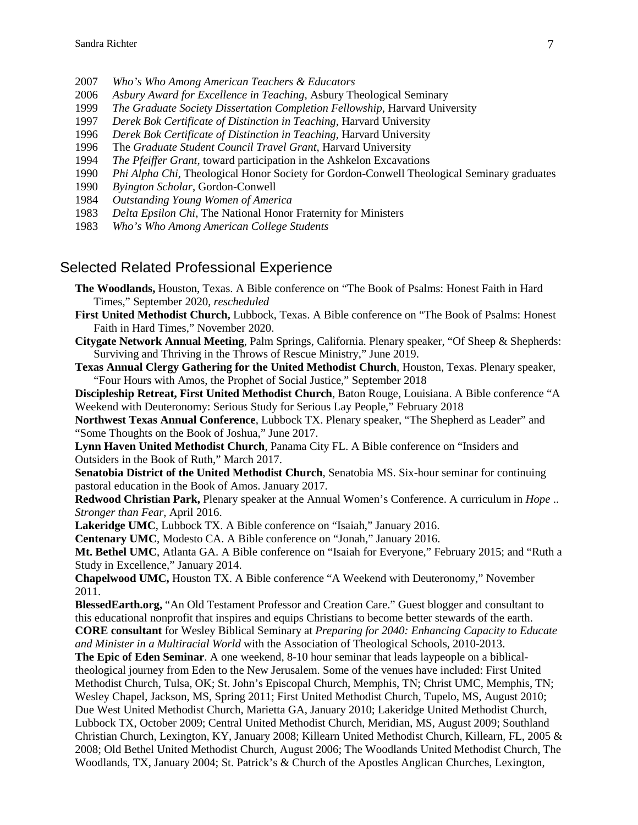- 2007 *Who's Who Among American Teachers & Educators*
- 2006 *Asbury Award for Excellence in Teaching*, Asbury Theological Seminary
- 1999 *The Graduate Society Dissertation Completion Fellowship*, Harvard University
- 1997 *Derek Bok Certificate of Distinction in Teaching*, Harvard University
- 1996 *Derek Bok Certificate of Distinction in Teaching*, Harvard University
- 1996 The *Graduate Student Council Travel Grant*, Harvard University
- 1994 *The Pfeiffer Grant*, toward participation in the Ashkelon Excavations
- 1990 *Phi Alpha Chi*, Theological Honor Society for Gordon-Conwell Theological Seminary graduates
- 1990 *Byington Scholar*, Gordon-Conwell
- 1984 *Outstanding Young Women of America*
- 1983 *Delta Epsilon Chi*, The National Honor Fraternity for Ministers
- 1983 *Who's Who Among American College Students*

#### Selected Related Professional Experience

- **The Woodlands,** Houston, Texas. A Bible conference on "The Book of Psalms: Honest Faith in Hard Times," September 2020, *rescheduled*
- **First United Methodist Church,** Lubbock, Texas. A Bible conference on "The Book of Psalms: Honest Faith in Hard Times," November 2020.
- **Citygate Network Annual Meeting**, Palm Springs, California. Plenary speaker, "Of Sheep & Shepherds: Surviving and Thriving in the Throws of Rescue Ministry," June 2019.
- **Texas Annual Clergy Gathering for the United Methodist Church**, Houston, Texas. Plenary speaker, "Four Hours with Amos, the Prophet of Social Justice," September 2018
- **Discipleship Retreat, First United Methodist Church**, Baton Rouge, Louisiana. A Bible conference "A Weekend with Deuteronomy: Serious Study for Serious Lay People," February 2018
- **Northwest Texas Annual Conference**, Lubbock TX. Plenary speaker, "The Shepherd as Leader" and "Some Thoughts on the Book of Joshua," June 2017.
- **Lynn Haven United Methodist Church**, Panama City FL. A Bible conference on "Insiders and Outsiders in the Book of Ruth," March 2017.
- **Senatobia District of the United Methodist Church**, Senatobia MS. Six-hour seminar for continuing pastoral education in the Book of Amos. January 2017.
- **Redwood Christian Park,** Plenary speaker at the Annual Women's Conference. A curriculum in *Hope* .. *Stronger than Fear*, April 2016.
- **Lakeridge UMC**, Lubbock TX. A Bible conference on "Isaiah," January 2016.
- **Centenary UMC**, Modesto CA. A Bible conference on "Jonah," January 2016.
- **Mt. Bethel UMC**, Atlanta GA. A Bible conference on "Isaiah for Everyone," February 2015; and "Ruth a Study in Excellence," January 2014.
- **Chapelwood UMC,** Houston TX. A Bible conference "A Weekend with Deuteronomy," November 2011.
- **BlessedEarth.org,** "An Old Testament Professor and Creation Care." Guest blogger and consultant to this educational nonprofit that inspires and equips Christians to become better stewards of the earth. **CORE consultant** for Wesley Biblical Seminary at *Preparing for 2040: Enhancing Capacity to Educate and Minister in a Multiracial World* with the Association of Theological Schools, 2010-2013.
- **The Epic of Eden Seminar**. A one weekend, 8-10 hour seminar that leads laypeople on a biblicaltheological journey from Eden to the New Jerusalem. Some of the venues have included: First United Methodist Church, Tulsa, OK; St. John's Episcopal Church, Memphis, TN; Christ UMC, Memphis, TN; Wesley Chapel, Jackson, MS, Spring 2011; First United Methodist Church, Tupelo, MS, August 2010; Due West United Methodist Church, Marietta GA, January 2010; Lakeridge United Methodist Church, Lubbock TX, October 2009; Central United Methodist Church, Meridian, MS, August 2009; Southland Christian Church, Lexington, KY, January 2008; Killearn United Methodist Church, Killearn, FL, 2005 & 2008; Old Bethel United Methodist Church, August 2006; The Woodlands United Methodist Church, The Woodlands, TX, January 2004; St. Patrick's & Church of the Apostles Anglican Churches, Lexington,